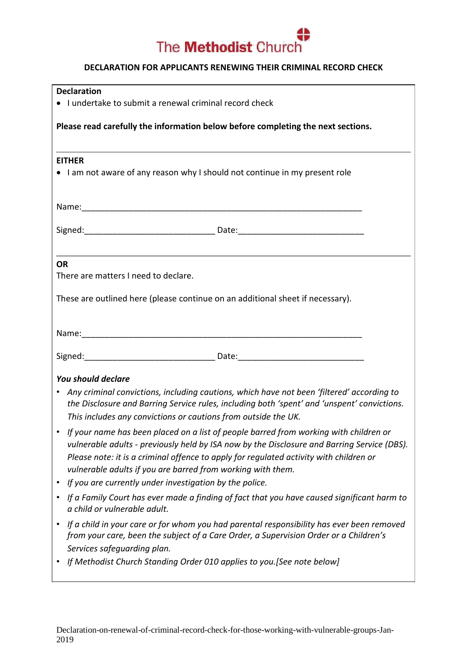

## **DECLARATION FOR APPLICANTS RENEWING THEIR CRIMINAL RECORD CHECK**

| <b>Declaration</b><br>• I undertake to submit a renewal criminal record check                                                                                                                                                                                                                                                                                                                                                                                              |
|----------------------------------------------------------------------------------------------------------------------------------------------------------------------------------------------------------------------------------------------------------------------------------------------------------------------------------------------------------------------------------------------------------------------------------------------------------------------------|
| Please read carefully the information below before completing the next sections.                                                                                                                                                                                                                                                                                                                                                                                           |
| <b>EITHER</b><br>• I am not aware of any reason why I should not continue in my present role                                                                                                                                                                                                                                                                                                                                                                               |
|                                                                                                                                                                                                                                                                                                                                                                                                                                                                            |
|                                                                                                                                                                                                                                                                                                                                                                                                                                                                            |
| <b>OR</b><br>There are matters I need to declare.                                                                                                                                                                                                                                                                                                                                                                                                                          |
| These are outlined here (please continue on an additional sheet if necessary).                                                                                                                                                                                                                                                                                                                                                                                             |
|                                                                                                                                                                                                                                                                                                                                                                                                                                                                            |
|                                                                                                                                                                                                                                                                                                                                                                                                                                                                            |
| <b>You should declare</b>                                                                                                                                                                                                                                                                                                                                                                                                                                                  |
| Any criminal convictions, including cautions, which have not been 'filtered' according to<br>$\bullet$<br>the Disclosure and Barring Service rules, including both 'spent' and 'unspent' convictions.                                                                                                                                                                                                                                                                      |
| This includes any convictions or cautions from outside the UK.<br>If your name has been placed on a list of people barred from working with children or<br>vulnerable adults - previously held by ISA now by the Disclosure and Barring Service (DBS).<br>Please note: it is a criminal offence to apply for regulated activity with children or<br>vulnerable adults if you are barred from working with them.<br>If you are currently under investigation by the police. |
| If a Family Court has ever made a finding of fact that you have caused significant harm to<br>a child or vulnerable adult.                                                                                                                                                                                                                                                                                                                                                 |
| If a child in your care or for whom you had parental responsibility has ever been removed<br>from your care, been the subject of a Care Order, a Supervision Order or a Children's<br>Services safeguarding plan.                                                                                                                                                                                                                                                          |
| If Methodist Church Standing Order 010 applies to you. [See note below]                                                                                                                                                                                                                                                                                                                                                                                                    |